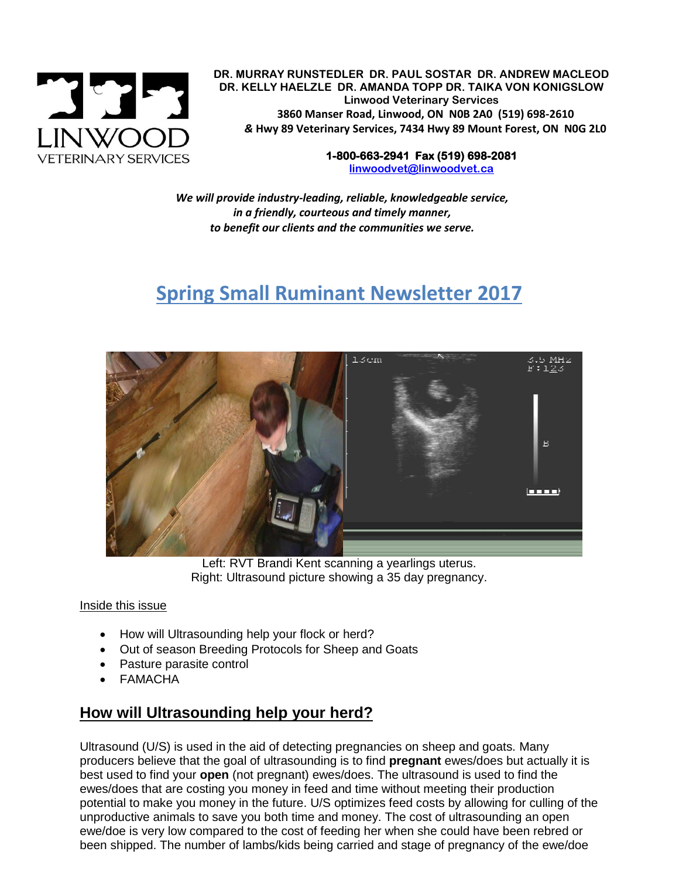

 **DR. MURRAY RUNSTEDLER DR. PAUL SOSTAR DR. ANDREW MACLEOD DR. KELLY HAELZLE DR. AMANDA TOPP DR. TAIKA VON KONIGSLOW Linwood Veterinary Services 3860 Manser Road, Linwood, ON N0B 2A0 (519) 698-2610** *&* **Hwy 89 Veterinary Services, 7434 Hwy 89 Mount Forest, ON N0G 2L0**

> **1-800-663-2941 Fax (519) 698-2081 [linwoodvet@linwoodvet.ca](mailto:linwoodvet@linwoodvet.ca)**

*We will provide industry-leading, reliable, knowledgeable service, in a friendly, courteous and timely manner, to benefit our clients and the communities we serve.*

# **Spring Small Ruminant Newsletter 2017**



Left: RVT Brandi Kent scanning a yearlings uterus. Right: Ultrasound picture showing a 35 day pregnancy.

#### Inside this issue

- How will Ultrasounding help your flock or herd?
- Out of season Breeding Protocols for Sheep and Goats
- Pasture parasite control
- FAMACHA

# **How will Ultrasounding help your herd?**

Ultrasound (U/S) is used in the aid of detecting pregnancies on sheep and goats. Many producers believe that the goal of ultrasounding is to find **pregnant** ewes/does but actually it is best used to find your **open** (not pregnant) ewes/does. The ultrasound is used to find the ewes/does that are costing you money in feed and time without meeting their production potential to make you money in the future. U/S optimizes feed costs by allowing for culling of the unproductive animals to save you both time and money. The cost of ultrasounding an open ewe/doe is very low compared to the cost of feeding her when she could have been rebred or been shipped. The number of lambs/kids being carried and stage of pregnancy of the ewe/doe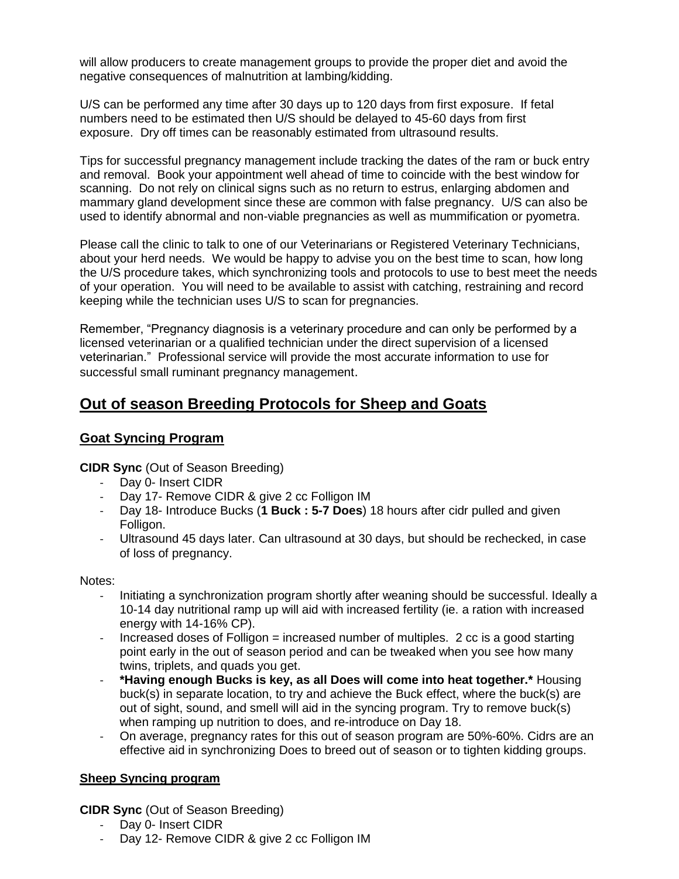will allow producers to create management groups to provide the proper diet and avoid the negative consequences of malnutrition at lambing/kidding.

U/S can be performed any time after 30 days up to 120 days from first exposure. If fetal numbers need to be estimated then U/S should be delayed to 45-60 days from first exposure. Dry off times can be reasonably estimated from ultrasound results.

Tips for successful pregnancy management include tracking the dates of the ram or buck entry and removal. Book your appointment well ahead of time to coincide with the best window for scanning. Do not rely on clinical signs such as no return to estrus, enlarging abdomen and mammary gland development since these are common with false pregnancy. U/S can also be used to identify abnormal and non-viable pregnancies as well as mummification or pyometra.

Please call the clinic to talk to one of our Veterinarians or Registered Veterinary Technicians, about your herd needs. We would be happy to advise you on the best time to scan, how long the U/S procedure takes, which synchronizing tools and protocols to use to best meet the needs of your operation. You will need to be available to assist with catching, restraining and record keeping while the technician uses U/S to scan for pregnancies.

Remember, "Pregnancy diagnosis is a veterinary procedure and can only be performed by a licensed veterinarian or a qualified technician under the direct supervision of a licensed veterinarian." Professional service will provide the most accurate information to use for successful small ruminant pregnancy management.

### **Out of season Breeding Protocols for Sheep and Goats**

### **Goat Syncing Program**

**CIDR Sync** (Out of Season Breeding)

- Day 0- Insert CIDR
- Day 17- Remove CIDR & give 2 cc Folligon IM
- Day 18- Introduce Bucks (**1 Buck : 5-7 Does**) 18 hours after cidr pulled and given Folligon.
- Ultrasound 45 days later. Can ultrasound at 30 days, but should be rechecked, in case of loss of pregnancy.

#### Notes:

- Initiating a synchronization program shortly after weaning should be successful. Ideally a 10-14 day nutritional ramp up will aid with increased fertility (ie. a ration with increased energy with 14-16% CP).
- Increased doses of Folligon = increased number of multiples. 2 cc is a good starting point early in the out of season period and can be tweaked when you see how many twins, triplets, and quads you get.
- **\*Having enough Bucks is key, as all Does will come into heat together.\*** Housing buck(s) in separate location, to try and achieve the Buck effect, where the buck(s) are out of sight, sound, and smell will aid in the syncing program. Try to remove buck(s) when ramping up nutrition to does, and re-introduce on Day 18.
- On average, pregnancy rates for this out of season program are 50%-60%. Cidrs are an effective aid in synchronizing Does to breed out of season or to tighten kidding groups.

#### **Sheep Syncing program**

**CIDR Sync** (Out of Season Breeding)

- Day 0- Insert CIDR
- Day 12- Remove CIDR & give 2 cc Folligon IM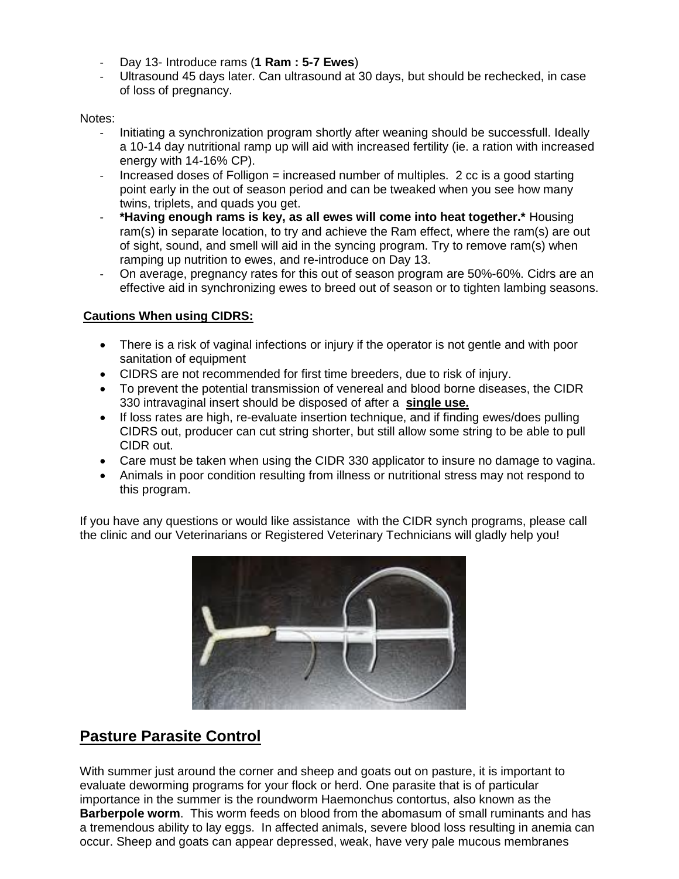- Day 13- Introduce rams (**1 Ram : 5-7 Ewes**)
- Ultrasound 45 days later. Can ultrasound at 30 days, but should be rechecked, in case of loss of pregnancy.

#### Notes:

- Initiating a synchronization program shortly after weaning should be successfull. Ideally a 10-14 day nutritional ramp up will aid with increased fertility (ie. a ration with increased energy with 14-16% CP).
- Increased doses of Folligon = increased number of multiples. 2 cc is a good starting point early in the out of season period and can be tweaked when you see how many twins, triplets, and quads you get.
- **\*Having enough rams is key, as all ewes will come into heat together.\*** Housing ram(s) in separate location, to try and achieve the Ram effect, where the ram(s) are out of sight, sound, and smell will aid in the syncing program. Try to remove ram(s) when ramping up nutrition to ewes, and re-introduce on Day 13.
- On average, pregnancy rates for this out of season program are 50%-60%. Cidrs are an effective aid in synchronizing ewes to breed out of season or to tighten lambing seasons.

### **Cautions When using CIDRS:**

- There is a risk of vaginal infections or injury if the operator is not gentle and with poor sanitation of equipment
- CIDRS are not recommended for first time breeders, due to risk of injury.
- To prevent the potential transmission of venereal and blood borne diseases, the CIDR 330 intravaginal insert should be disposed of after a **single use.**
- If loss rates are high, re-evaluate insertion technique, and if finding ewes/does pulling CIDRS out, producer can cut string shorter, but still allow some string to be able to pull CIDR out.
- Care must be taken when using the CIDR 330 applicator to insure no damage to vagina.
- Animals in poor condition resulting from illness or nutritional stress may not respond to this program.

If you have any questions or would like assistance with the CIDR synch programs, please call the clinic and our Veterinarians or Registered Veterinary Technicians will gladly help you!



# **Pasture Parasite Control**

With summer just around the corner and sheep and goats out on pasture, it is important to evaluate deworming programs for your flock or herd. One parasite that is of particular importance in the summer is the roundworm Haemonchus contortus, also known as the **Barberpole worm**. This worm feeds on blood from the abomasum of small ruminants and has a tremendous ability to lay eggs. In affected animals, severe blood loss resulting in anemia can occur. Sheep and goats can appear depressed, weak, have very pale mucous membranes